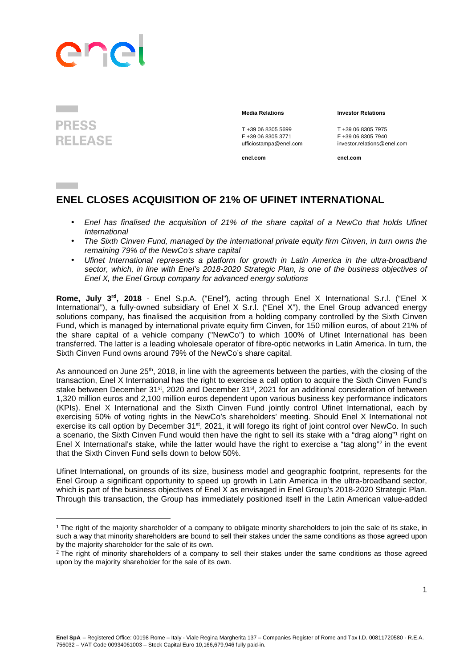## anp

## **PRESS RELEASE**

 $\overline{a}$ 

## **Media Relations Investor Relations**

T +39 06 8305 5699<br>
F +39 06 8305 3771<br>
F +39 06 8305 3771<br>
F +39 06 8305 7940

**enel.com enel.com**

F +39 06 8305 3771 F +39 06 8305 7940 ufficiostampa@enel.com investor.relations@enel.com

## **ENEL CLOSES ACQUISITION OF 21% OF UFINET INTERNATIONAL**

- Enel has finalised the acquisition of 21% of the share capital of a NewCo that holds Ufinet **International**
- The Sixth Cinven Fund, managed by the international private equity firm Cinven, in turn owns the remaining 79% of the NewCo's share capital
- Ufinet International represents a platform for growth in Latin America in the ultra-broadband sector, which, in line with Enel's 2018-2020 Strategic Plan, is one of the business objectives of Enel X, the Enel Group company for advanced energy solutions

**Rome, July 3rd, 2018** - Enel S.p.A. ("Enel"), acting through Enel X International S.r.l. ("Enel X International"), a fully-owned subsidiary of Enel X S.r.l. ("Enel X"), the Enel Group advanced energy solutions company, has finalised the acquisition from a holding company controlled by the Sixth Cinven Fund, which is managed by international private equity firm Cinven, for 150 million euros, of about 21% of the share capital of a vehicle company ("NewCo") to which 100% of Ufinet International has been transferred. The latter is a leading wholesale operator of fibre-optic networks in Latin America. In turn, the Sixth Cinven Fund owns around 79% of the NewCo's share capital.

As announced on June 25<sup>th</sup>, 2018, in line with the agreements between the parties, with the closing of the transaction, Enel X International has the right to exercise a call option to acquire the Sixth Cinven Fund's stake between December 31st, 2020 and December 31st, 2021 for an additional consideration of between 1,320 million euros and 2,100 million euros dependent upon various business key performance indicators (KPIs). Enel X International and the Sixth Cinven Fund jointly control Ufinet International, each by exercising 50% of voting rights in the NewCo's shareholders' meeting. Should Enel X International not exercise its call option by December 31<sup>st</sup>, 2021, it will forego its right of joint control over NewCo. In such a scenario, the Sixth Cinven Fund would then have the right to sell its stake with a "drag along"<sup>1</sup> right on Enel X International's stake, while the latter would have the right to exercise a "tag along"<sup>2</sup> in the event that the Sixth Cinven Fund sells down to below 50%.

Ufinet International, on grounds of its size, business model and geographic footprint, represents for the Enel Group a significant opportunity to speed up growth in Latin America in the ultra-broadband sector, which is part of the business objectives of Enel X as envisaged in Enel Group's 2018-2020 Strategic Plan. Through this transaction, the Group has immediately positioned itself in the Latin American value-added

 $1$  The right of the majority shareholder of a company to obligate minority shareholders to join the sale of its stake, in such a way that minority shareholders are bound to sell their stakes under the same conditions as those agreed upon by the majority shareholder for the sale of its own.

<sup>&</sup>lt;sup>2</sup> The right of minority shareholders of a company to sell their stakes under the same conditions as those agreed upon by the majority shareholder for the sale of its own.